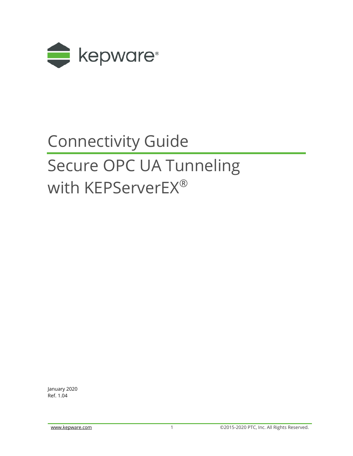

# Connectivity Guide Secure OPC UA Tunneling with KEPServerEX®

January 2020 Ref. 1.04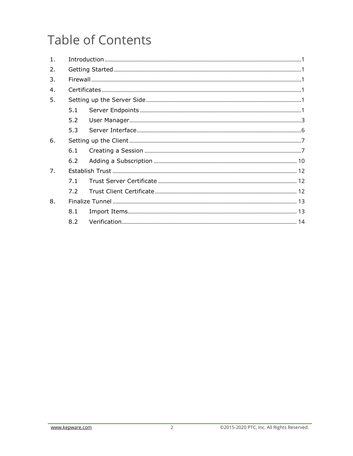## **Table of Contents**

| 5.1 |  |  |  |  |
|-----|--|--|--|--|
| 5.2 |  |  |  |  |
| 5.3 |  |  |  |  |
|     |  |  |  |  |
| 6.1 |  |  |  |  |
| 6.2 |  |  |  |  |
|     |  |  |  |  |
| 7.1 |  |  |  |  |
| 7.2 |  |  |  |  |
|     |  |  |  |  |
| 8.1 |  |  |  |  |
| 8.2 |  |  |  |  |
|     |  |  |  |  |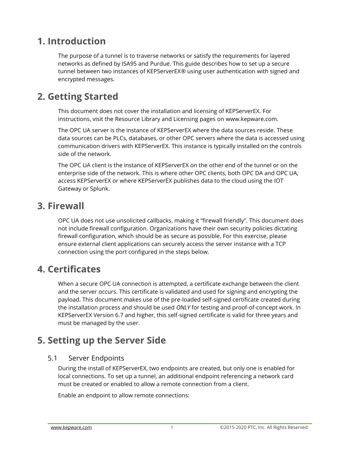### <span id="page-2-0"></span>**1. Introduction**

The purpose of a tunnel is to traverse networks or satisfy the requirements for layered networks as defined by ISA95 and Purdue. This guide describes how to set up a secure tunnel between two instances of KEPServerEX® using user authentication with signed and encrypted messages.

### <span id="page-2-1"></span>**2. Getting Started**

This document does not cover the installation and licensing of KEPServerEX. For instructions, visit the Resource Library and Licensing pages on [www.kepware.com.](http://www.kepware.com/)

The OPC UA server is the instance of KEPServerEX where the data sources reside. These data sources can be PLCs, databases, or other OPC servers where the data is accessed using communication drivers with KEPServerEX. This instance is typically installed on the controls side of the network.

The OPC UA client is the instance of KEPServerEX on the other end of the tunnel or on the enterprise side of the network. This is where other OPC clients, both OPC DA and OPC UA, access KEPServerEX or where KEPServerEX publishes data to the cloud using the IOT Gateway or Splunk.

### <span id="page-2-2"></span>**3. Firewall**

OPC UA does not use unsolicited callbacks, making it "firewall friendly". This document does not include firewall configuration. Organizations have their own security policies dictating firewall configuration, which should be as secure as possible. For this exercise, please ensure external client applications can securely access the server instance with a TCP connection using the port configured in the steps below.

### <span id="page-2-3"></span>**4. Certificates**

When a secure OPC UA connection is attempted, a certificate exchange between the client and the server occurs. This certificate is validated and used for signing and encrypting the payload. This document makes use of the pre-loaded self-signed certificate created during the installation process and should be used *ONLY* for testing and proof-of-concept work. In KEPServerEX Version 6.7 and higher, this self-signed certificate is valid for three years and must be managed by the user.

### <span id="page-2-4"></span>**5. Setting up the Server Side**

#### <span id="page-2-5"></span>5.1 Server Endpoints

During the install of KEPServerEX, two endpoints are created, but only one is enabled for local connections. To set up a tunnel, an additional endpoint referencing a network card must be created or enabled to allow a remote connection from a client.

Enable an endpoint to allow remote connections: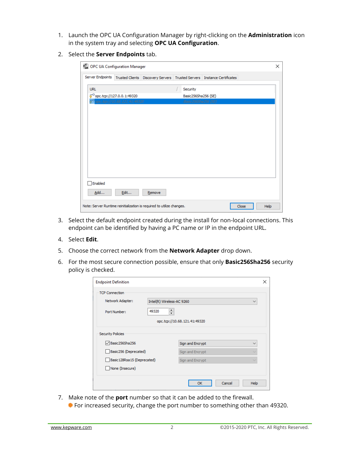- 1. Launch the OPC UA Configuration Manager by right-clicking on the **Administration** icon in the system tray and selecting **OPC UA Configuration**.
- 2. Select the **Server Endpoints** tab.

| UA OPC UA Configuration Manager |                                                            |                                                                               |                                            |       | $\times$ |
|---------------------------------|------------------------------------------------------------|-------------------------------------------------------------------------------|--------------------------------------------|-------|----------|
| Server Endpoints                |                                                            | Trusted Clients   Discovery Servers   Trusted Servers   Instance Certificates |                                            |       |          |
| <b>URL</b>                      |                                                            |                                                                               | Security                                   |       |          |
|                                 | popc.tcp://127.0.0.1:49320<br>opc.top://10.68.121.41:49320 |                                                                               | Basic256Sha256 (SE)<br>Basic256Sha256 (SE) |       |          |
|                                 |                                                            |                                                                               |                                            |       |          |
|                                 |                                                            |                                                                               |                                            |       |          |
|                                 |                                                            |                                                                               |                                            |       |          |
|                                 |                                                            |                                                                               |                                            |       |          |
|                                 |                                                            |                                                                               |                                            |       |          |
|                                 |                                                            |                                                                               |                                            |       |          |
| Enabled                         |                                                            |                                                                               |                                            |       |          |
| Add                             | Edit                                                       | Remove                                                                        |                                            |       |          |
|                                 |                                                            | Note: Server Runtime reinitialization is required to utilize changes.         |                                            | Close | Help     |

- 3. Select the default endpoint created during the install for non-local connections. This endpoint can be identified by having a PC name or IP in the endpoint URL.
- 4. Select **Edit**.
- 5. Choose the correct network from the **Network Adapter** drop down.
- 6. For the most secure connection possible, ensure that only **Basic256Sha256** security policy is checked.

| <b>Endpoint Definition</b>   |                                           |                  |                  | ×    |  |
|------------------------------|-------------------------------------------|------------------|------------------|------|--|
| <b>TCP Connection</b>        |                                           |                  |                  |      |  |
| Network Adapter:             | Intel(R) Wireless-AC 9260<br>$\checkmark$ |                  |                  |      |  |
| Port Number:                 | 49320                                     |                  |                  |      |  |
| opc.tcp://10.68.121.41:49320 |                                           |                  |                  |      |  |
| <b>Security Policies</b>     |                                           |                  |                  |      |  |
| □ Basic256Sha256             |                                           | Sign and Encrypt | $\checkmark$     |      |  |
|                              | Basic256 (Deprecated)                     |                  | Sign and Encrypt |      |  |
| Basic 128Rsa 15 (Deprecated) |                                           | Sign and Encrypt | $\checkmark$     |      |  |
| None (Insecure)              |                                           |                  |                  |      |  |
|                              |                                           |                  | OK<br>Cancel     | Help |  |

7. Make note of the **port** number so that it can be added to the firewall. **For increased security, change the port number to something other than 49320.**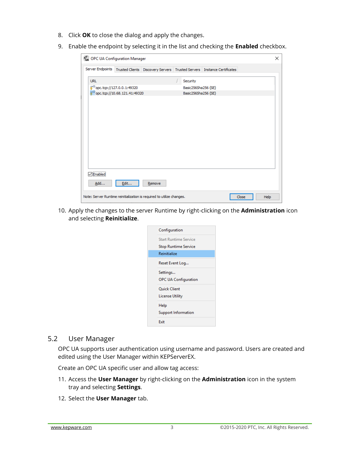- 8. Click **OK** to close the dialog and apply the changes.
- 9. Enable the endpoint by selecting it in the list and checking the **Enabled** checkbox.

|                                         | <b>UA</b> OPC UA Configuration Manager |                                                                                                  |  |                                 |  |       |      | $\times$ |
|-----------------------------------------|----------------------------------------|--------------------------------------------------------------------------------------------------|--|---------------------------------|--|-------|------|----------|
|                                         |                                        | Server Endpoints   Trusted Clients   Discovery Servers   Trusted Servers   Instance Certificates |  |                                 |  |       |      |          |
| <b>URL</b><br>opc.tcp://127.0.0.1:49320 |                                        |                                                                                                  |  | Security<br>Basic256Sha256 (SE) |  |       |      |          |
|                                         | popc.tcp://10.68.121.41:49320          |                                                                                                  |  | Basic256Sha256 (SE)             |  |       |      |          |
|                                         |                                        |                                                                                                  |  |                                 |  |       |      |          |
| <b>Enabled</b><br>Add                   | Edit                                   | Remove                                                                                           |  |                                 |  |       |      |          |
|                                         |                                        | Note: Server Runtime reinitialization is required to utilize changes.                            |  |                                 |  | Close | Help |          |

10. Apply the changes to the server Runtime by right-clicking on the **Administration** icon and selecting **Reinitialize**.

| Configuration                |
|------------------------------|
| <b>Start Runtime Service</b> |
| Stop Runtime Service         |
| Reinitialize                 |
| Reset Event Log              |
| Settings                     |
| <b>OPC UA Configuration</b>  |
| <b>Ouick Client</b>          |
| License Utility              |
| Help                         |
| <b>Support Information</b>   |
| Fxit                         |
|                              |

#### <span id="page-4-0"></span>5.2 User Manager

OPC UA supports user authentication using username and password. Users are created and edited using the User Manager within KEPServerEX.

Create an OPC UA specific user and allow tag access:

- 11. Access the **User Manager** by right-clicking on the **Administration** icon in the system tray and selecting **Settings**.
- 12. Select the **User Manager** tab.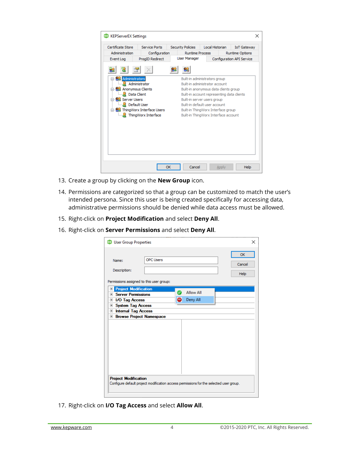| Certificate Store                | <b>Service Ports</b>                  | <b>Security Policies</b> | Local Historian                            | <b>IoT Gateway</b>        |
|----------------------------------|---------------------------------------|--------------------------|--------------------------------------------|---------------------------|
| Administration                   | Configuration                         | <b>Runtime Process</b>   |                                            | <b>Runtime Options</b>    |
| Event Log                        | ProgID Redirect                       | User Manager             |                                            | Configuration API Service |
|                                  |                                       |                          |                                            |                           |
| Administrators                   |                                       |                          | Built-in administrators group              |                           |
|                                  | Administrator                         |                          | Built-in administrator account             |                           |
| <b>Example Anonymous Clients</b> |                                       |                          | Built-in anonymous data clients group      |                           |
| <b>A</b> Data Client             |                                       |                          | Built-in account representing data clients |                           |
| 白 <b>島 Server Users</b>          |                                       |                          | Built-in server users group                |                           |
| Default User                     |                                       |                          | Built-in default user account              |                           |
|                                  | <b>E</b> 83 ThingWorx Interface Users |                          | Built-in ThingWorx Interface group         |                           |
|                                  | ThingWorx Interface                   |                          | Built-in ThingWorx Interface account       |                           |
|                                  |                                       |                          |                                            |                           |
|                                  |                                       |                          |                                            |                           |
|                                  |                                       |                          |                                            |                           |
|                                  |                                       |                          |                                            |                           |
|                                  |                                       |                          |                                            |                           |
|                                  |                                       |                          |                                            |                           |

- 13. Create a group by clicking on the **New Group** icon.
- 14. Permissions are categorized so that a group can be customized to match the user's intended persona. Since this user is being created specifically for accessing data, administrative permissions should be denied while data access must be allowed.
- 15. Right-click on **Project Modification** and select **Deny All**.
- 16. Right-click on **Server Permissions** and select **Deny All**.

| <b>B3</b> User Group Properties                                                                                       |                  |   |                  |              |
|-----------------------------------------------------------------------------------------------------------------------|------------------|---|------------------|--------------|
| Name:<br>Description:                                                                                                 | <b>OPC Users</b> |   |                  | OK<br>Cancel |
| Permissions assigned to this user group:                                                                              |                  |   |                  | <b>Help</b>  |
| <b>Project Modification</b><br>$\overline{+}$<br><b>E</b> Server Permissions                                          |                  | Ø | <b>Allow All</b> |              |
| <b>H</b> I/O Tag Access                                                                                               |                  | 8 | Deny All         |              |
| El System Tag Access                                                                                                  |                  |   |                  |              |
| <b>Internal Tag Access</b><br>$\overline{+}$<br><b>El Browse Project Namespace</b>                                    |                  |   |                  |              |
|                                                                                                                       |                  |   |                  |              |
| <b>Project Modification</b><br>Configure default project modification access permissions for the selected user group. |                  |   |                  |              |

17. Right-click on **I/O Tag Access** and select **Allow All**.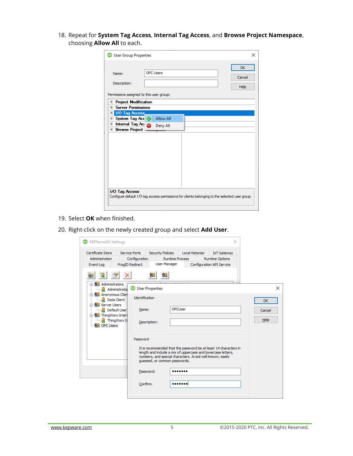18. Repeat for **System Tag Access**, **Internal Tag Access**, and **Browse Project Namespace**, choosing **Allow All** to each.

|                                                                               |                  |                                                                                                | OK     |
|-------------------------------------------------------------------------------|------------------|------------------------------------------------------------------------------------------------|--------|
| Name:                                                                         | <b>OPC Users</b> |                                                                                                | Cancel |
| Description:                                                                  |                  |                                                                                                | Help   |
| Permissions assigned to this user group:                                      |                  |                                                                                                |        |
| <b>Project Modification</b><br>$\overline{+}$                                 |                  |                                                                                                |        |
| <b>E</b> Server Permissions                                                   |                  |                                                                                                |        |
| <b>D</b> I/O Tag Access<br>El System Tag Acc & Allow All                      |                  |                                                                                                |        |
| Internal Tag Ac<br>$\overline{+}$<br><b>Browse Project.</b><br>$\overline{+}$ | <b>Deny All</b>  |                                                                                                |        |
|                                                                               |                  |                                                                                                |        |
|                                                                               |                  |                                                                                                |        |
|                                                                               |                  |                                                                                                |        |
|                                                                               |                  |                                                                                                |        |
|                                                                               |                  |                                                                                                |        |
|                                                                               |                  |                                                                                                |        |
|                                                                               |                  |                                                                                                |        |
| I/O Tag Access                                                                |                  | Configure default I/O tag access permissions for clients belonging to the selected user group. |        |

- 19. Select **OK** when finished.
- 20. Right-click on the newly created group and select **Add User**.

| <b>ex</b> KEPServerEX Settings                                                                                           |                                                                                      |                                                                                                                                                                                                                                | ×                                                                         |                     |
|--------------------------------------------------------------------------------------------------------------------------|--------------------------------------------------------------------------------------|--------------------------------------------------------------------------------------------------------------------------------------------------------------------------------------------------------------------------------|---------------------------------------------------------------------------|---------------------|
| Certificate Store<br>Administration<br>Event Log                                                                         | <b>Service Ports</b><br><b>Security Policies</b><br>Configuration<br>ProgID Redirect | Local Historian<br><b>Runtime Process</b><br><b>User Manager</b>                                                                                                                                                               | <b>IoT Gateway</b><br><b>Runtime Options</b><br>Configuration API Service |                     |
| □ Administrators                                                                                                         |                                                                                      |                                                                                                                                                                                                                                |                                                                           |                     |
| Administrator                                                                                                            | <b>EXI</b> User Properties                                                           |                                                                                                                                                                                                                                |                                                                           | $\times$            |
| <b>E S.</b> Anonymous Clien<br>Data Client<br><b>Server Users</b><br><b>Default User</b><br><b>E</b> Sta ThingWorx Inter | Identification<br>Name:                                                              | OPCUser                                                                                                                                                                                                                        |                                                                           | <b>OK</b><br>Cancel |
| ThingWorx In<br><b>OPC Users</b>                                                                                         | Description:                                                                         |                                                                                                                                                                                                                                |                                                                           | Help                |
|                                                                                                                          | Password                                                                             | It is recommended that the password be at least 14 characters in<br>length and include a mix of uppercase and lowercase letters,<br>numbers, and special characters. Avoid well-known, easily<br>quessed, or common passwords. |                                                                           |                     |
|                                                                                                                          | Password:                                                                            |                                                                                                                                                                                                                                |                                                                           |                     |
|                                                                                                                          | Confirm:                                                                             |                                                                                                                                                                                                                                |                                                                           |                     |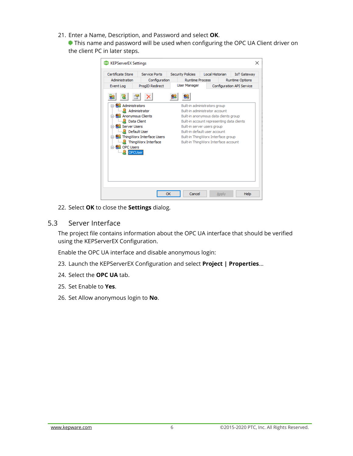21. Enter a Name, Description, and Password and select **OK**.

This name and password will be used when configuring the OPC UA Client driver on the client PC in later steps.

| Administration<br>Configuration<br><b>Runtime Process</b><br><b>Runtime Options</b><br><b>User Manager</b><br>ProgID Redirect<br>Configuration API Service<br>Event Log<br><b>RR</b> Administrators<br>Built-in administrators group<br>Administrator<br>Built-in administrator account<br><b>S</b> Anonymous Clients<br>Built-in anonymous data clients group<br><b>Data Client</b><br>Built-in account representing data clients<br><b>RE</b> Server Users<br>Built-in server users group<br><b>Default User</b><br>Built-in default user account<br><b>BL</b> ThingWorx Interface Users<br>Built-in ThingWorx Interface group<br>ThingWorx Interface<br>Built-in ThingWorx Interface account | Certificate Store     | <b>Service Ports</b> | <b>Security Policies</b> | Local Historian | <b>IoT Gateway</b> |
|-------------------------------------------------------------------------------------------------------------------------------------------------------------------------------------------------------------------------------------------------------------------------------------------------------------------------------------------------------------------------------------------------------------------------------------------------------------------------------------------------------------------------------------------------------------------------------------------------------------------------------------------------------------------------------------------------|-----------------------|----------------------|--------------------------|-----------------|--------------------|
|                                                                                                                                                                                                                                                                                                                                                                                                                                                                                                                                                                                                                                                                                                 |                       |                      |                          |                 |                    |
|                                                                                                                                                                                                                                                                                                                                                                                                                                                                                                                                                                                                                                                                                                 |                       |                      |                          |                 |                    |
|                                                                                                                                                                                                                                                                                                                                                                                                                                                                                                                                                                                                                                                                                                 | ⊟ <u>AL</u> OPC Users |                      |                          |                 |                    |
|                                                                                                                                                                                                                                                                                                                                                                                                                                                                                                                                                                                                                                                                                                 |                       |                      |                          |                 |                    |
|                                                                                                                                                                                                                                                                                                                                                                                                                                                                                                                                                                                                                                                                                                 |                       |                      |                          |                 |                    |

22. Select **OK** to close the **Settings** dialog.

#### <span id="page-7-0"></span>5.3 Server Interface

The project file contains information about the OPC UA interface that should be verified using the KEPServerEX Configuration.

Enable the OPC UA interface and disable anonymous login:

- 23. Launch the KEPServerEX Configuration and select **Project | Properties**...
- 24. Select the **OPC UA** tab.
- 25. Set Enable to **Yes**.
- 26. Set Allow anonymous login to **No**.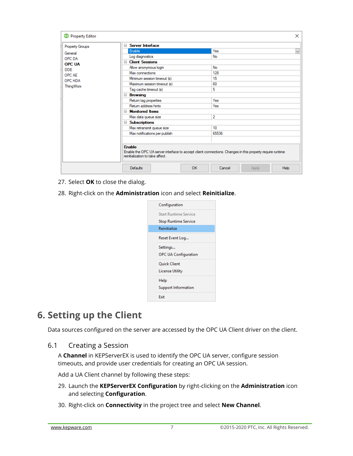| <b>ex</b> Property Editor   |                                                                                                                                                                | $\times$                       |
|-----------------------------|----------------------------------------------------------------------------------------------------------------------------------------------------------------|--------------------------------|
| <b>Property Groups</b>      | □ Server Interface                                                                                                                                             |                                |
| General                     | Enable                                                                                                                                                         | Yes<br>$\checkmark$            |
| OPC DA                      | Log diagnostics<br>□ Client Sessions                                                                                                                           | No                             |
| <b>OPC UA</b><br><b>DDE</b> | Allow anonymous login                                                                                                                                          | No                             |
| OPC AE                      | Max connections                                                                                                                                                | 128                            |
| <b>OPC HDA</b>              | Minimum session timeout (s)                                                                                                                                    | 15                             |
| <b>ThingWorx</b>            | Maximum session timeout (s)                                                                                                                                    | 60                             |
|                             | Tag cache timeout (s)                                                                                                                                          | 5                              |
|                             | <b>Browsing</b>                                                                                                                                                |                                |
|                             | Return tag properties                                                                                                                                          | Yes                            |
|                             | Return address hints                                                                                                                                           | Yes                            |
|                             | $\Box$ Monitored Items                                                                                                                                         |                                |
|                             | Max data queue size                                                                                                                                            | $\overline{2}$                 |
|                             | □ Subscriptions                                                                                                                                                |                                |
|                             | Max retransmit queue size                                                                                                                                      | 10                             |
|                             | Max notifications per publish                                                                                                                                  | 65536                          |
|                             |                                                                                                                                                                |                                |
|                             | <b>Enable</b><br>Enable the OPC UA server interface to accept client connections. Changes in this property require runtime<br>reinitialization to take affect. |                                |
|                             | OK<br>Defaults                                                                                                                                                 | <b>Help</b><br>Cancel<br>Apply |

- 27. Select **OK** to close the dialog.
- 28. Right-click on the **Administration** icon and select **Reinitialize**.



### <span id="page-8-0"></span>**6. Setting up the Client**

Data sources configured on the server are accessed by the OPC UA Client driver on the client.

<span id="page-8-1"></span>6.1 Creating a Session

A **Channel** in KEPServerEX is used to identify the OPC UA server, configure session timeouts, and provide user credentials for creating an OPC UA session.

Add a UA Client channel by following these steps:

- 29. Launch the **KEPServerEX Configuration** by right-clicking on the **Administration** icon and selecting **Configuration**.
- 30. Right-click on **Connectivity** in the project tree and select **New Channel**.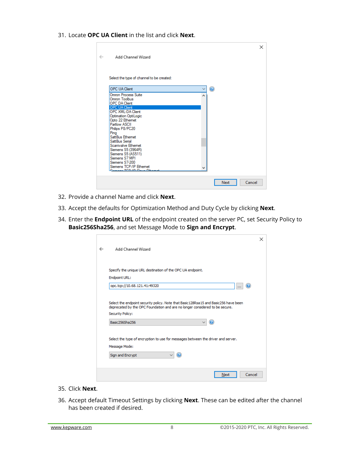31. Locate **OPC UA Client** in the list and click **Next**.

|              |                                                        | ×              |
|--------------|--------------------------------------------------------|----------------|
| $\leftarrow$ | Add Channel Wizard                                     |                |
|              |                                                        |                |
|              | Select the type of channel to be created:              |                |
|              | <b>OPC UA Client</b>                                   | ◎              |
|              | Omron Process Suite<br>۸<br>Omron Toolbus              |                |
|              | <b>OPC DA Client</b>                                   |                |
|              | <b>OPC UA Client</b><br><b>OPC XML-DA Client</b>       |                |
|              | Optimation OptiLogic                                   |                |
|              | Opto 22 Ethemet<br>Partlow ASCII                       |                |
|              | Philips P8/PC20                                        |                |
|              | Pina<br>Satt Bus Ethemet                               |                |
|              | Satt Bus Serial                                        |                |
|              | Scanivalve Ethemet                                     |                |
|              | Siemens S5 (3964R)                                     |                |
|              | Siemens S5 (AS511)<br>Siemens S7 MPI                   |                |
|              | Siemens S7-200                                         |                |
|              | Siemens TCP/IP Ethemet<br>Compact TCD 4D Class Fileman |                |
|              |                                                        |                |
|              |                                                        | Cancel<br>Next |
|              |                                                        |                |

- 32. Provide a channel Name and click **Next**.
- 33. Accept the defaults for Optimization Method and Duty Cycle by clicking **Next**.
- 34. Enter the **Endpoint URL** of the endpoint created on the server PC, set Security Policy to **Basic256Sha256**, and set Message Mode to **Sign and Encrypt**.

|                                                                                        | × |
|----------------------------------------------------------------------------------------|---|
| Add Channel Wizard                                                                     |   |
|                                                                                        |   |
|                                                                                        |   |
| Specify the unique URL destination of the OPC UA endpoint.                             |   |
| Endpoint URL:                                                                          |   |
| opc.tcp://10.68.121.41:49320<br>ia.                                                    |   |
|                                                                                        |   |
| Select the endpoint security policy. Note that Basic 128Rsa 15 and Basic 256 have been |   |
| deprecated by the OPC Foundation and are no longer considered to be secure.            |   |
| <b>Security Policy:</b>                                                                |   |
| 3<br>Basic256Sha256                                                                    |   |
|                                                                                        |   |
| Select the type of encryption to use for messages between the driver and server.       |   |
| Message Mode:                                                                          |   |
|                                                                                        |   |
| Ω<br>Sign and Encrypt                                                                  |   |
|                                                                                        |   |
| Cancel<br>Next                                                                         |   |
|                                                                                        |   |

- 35. Click **Next**.
- 36. Accept default Timeout Settings by clicking **Next**. These can be edited after the channel has been created if desired.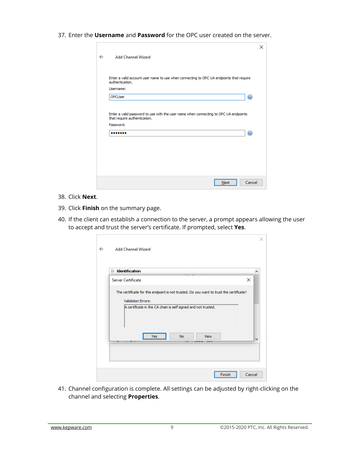37. Enter the **Username** and **Password** for the OPC user created on the server.

| Add Channel Wizard           |                                                                                         |  |   |
|------------------------------|-----------------------------------------------------------------------------------------|--|---|
|                              |                                                                                         |  |   |
| authentication.              | Enter a valid account user name to use when connecting to OPC UA endpoints that require |  |   |
| Username:                    |                                                                                         |  |   |
| OPCUser                      |                                                                                         |  | Q |
| that require authentication. | Enter a valid password to use with the user name when connecting to OPC UA endpoints    |  |   |
| Password:                    |                                                                                         |  |   |
|                              |                                                                                         |  | ◉ |
|                              |                                                                                         |  |   |
|                              |                                                                                         |  |   |
|                              |                                                                                         |  |   |
|                              |                                                                                         |  |   |
|                              |                                                                                         |  |   |

- 38. Click **Next**.
- 39. Click **Finish** on the summary page.

П

40. If the client can establish a connection to the server, a prompt appears allowing the user to accept and trust the server's certificate. If prompted, select **Yes**.

| <b>Server Certificate</b> | <b>Identification</b>                                                                   | × |
|---------------------------|-----------------------------------------------------------------------------------------|---|
|                           | The certificate for this endpoint is not trusted. Do you want to trust the certificate? |   |
| <b>Validation Errors:</b> |                                                                                         |   |
|                           | A certificate in the CA chain is self signed and not trusted.                           |   |
|                           |                                                                                         |   |
|                           |                                                                                         |   |
|                           | <b>No</b><br><b>View</b><br><b>Yes</b><br>                                              |   |

41. Channel configuration is complete. All settings can be adjusted by right-clicking on the channel and selecting **Properties**.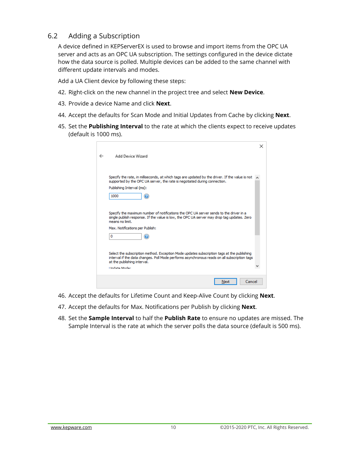#### <span id="page-11-0"></span>6.2 Adding a Subscription

A device defined in KEPServerEX is used to browse and import items from the OPC UA server and acts as an OPC UA subscription. The settings configured in the device dictate how the data source is polled. Multiple devices can be added to the same channel with different update intervals and modes.

Add a UA Client device by following these steps:

- 42. Right-click on the new channel in the project tree and select **New Device**.
- 43. Provide a device Name and click **Next**.
- 44. Accept the defaults for Scan Mode and Initial Updates from Cache by clicking **Next**.
- 45. Set the **Publishing Interval** to the rate at which the clients expect to receive updates (default is 1000 ms).

|                                                                                                                                                                                                                           | x |
|---------------------------------------------------------------------------------------------------------------------------------------------------------------------------------------------------------------------------|---|
| Add Device Wizard                                                                                                                                                                                                         |   |
|                                                                                                                                                                                                                           |   |
| Specify the rate, in milliseconds, at which tags are updated by the driver. If the value is not<br>supported by the OPC UA server, the rate is negotiated during connection.                                              |   |
| Publishing Interval (ms):                                                                                                                                                                                                 |   |
| 1000<br>(?)                                                                                                                                                                                                               |   |
|                                                                                                                                                                                                                           |   |
| Specify the maximum number of notifications the OPC UA server sends to the driver in a<br>single publish response. If the value is low, the OPC UA server may drop tag updates. Zero<br>means no limit.                   |   |
| Max. Notifications per Publish:                                                                                                                                                                                           |   |
| 0<br>2                                                                                                                                                                                                                    |   |
|                                                                                                                                                                                                                           |   |
| Select the subscription method. Exception Mode updates subscription tags at the publishing<br>interval if the data changes. Poll Mode performs asynchronous reads on all subscription tags<br>at the publishing interval. |   |
| <b>Lindate Moder</b>                                                                                                                                                                                                      |   |
| Cancel<br>Next                                                                                                                                                                                                            |   |

- 46. Accept the defaults for Lifetime Count and Keep-Alive Count by clicking **Next**.
- 47. Accept the defaults for Max. Notifications per Publish by clicking **Next**.
- 48. Set the **Sample Interval** to half the **Publish Rate** to ensure no updates are missed. The Sample Interval is the rate at which the server polls the data source (default is 500 ms).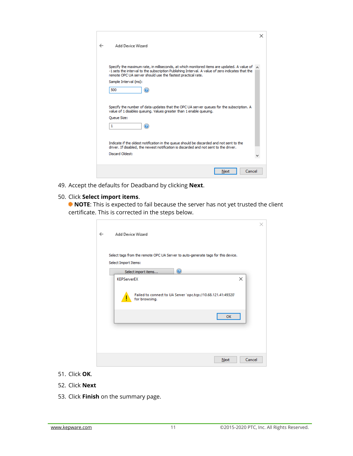|   |                                                                                                                                                                                                                                                                       | × |
|---|-----------------------------------------------------------------------------------------------------------------------------------------------------------------------------------------------------------------------------------------------------------------------|---|
| ← | Add Device Wizard                                                                                                                                                                                                                                                     |   |
|   |                                                                                                                                                                                                                                                                       |   |
|   | Specify the maximum rate, in milliseconds, at which monitored items are updated. A value of $\sim$<br>-1 sets the interval to the subscription Publishing Interval. A value of zero indicates that the<br>remote OPC UA server should use the fastest practical rate. |   |
|   | Sample Interval (ms):                                                                                                                                                                                                                                                 |   |
|   | 500                                                                                                                                                                                                                                                                   |   |
|   |                                                                                                                                                                                                                                                                       |   |
|   | Specify the number of data updates that the OPC UA server queues for the subscription. A<br>value of 1 disables queuing. Values greater than 1 enable queuing.                                                                                                        |   |
|   | Queue Size:                                                                                                                                                                                                                                                           |   |
|   | ?<br>1                                                                                                                                                                                                                                                                |   |
|   |                                                                                                                                                                                                                                                                       |   |
|   | Indicate if the oldest notification in the queue should be discarded and not sent to the<br>driver. If disabled, the newest notification is discarded and not sent to the driver.                                                                                     |   |
|   | Discard Oldest:                                                                                                                                                                                                                                                       |   |
|   |                                                                                                                                                                                                                                                                       |   |
|   | Cancel<br>Next                                                                                                                                                                                                                                                        |   |

49. Accept the defaults for Deadband by clicking **Next**.

#### 50. Click **Select import items**.

 $\overline{\phantom{0}}$ 

**NOTE:** This is expected to fail because the server has not yet trusted the client certificate. This is corrected in the steps below.

| Add Device Wizard                                                                |  |
|----------------------------------------------------------------------------------|--|
| Select tags from the remote OPC UA Server to auto-generate tags for this device. |  |
| Select Import Items:                                                             |  |
| $\circledcirc$<br>Select import items<br>×<br><b>KEPServerEX</b>                 |  |
| Failed to connect to UA Server 'opc.tcp://10.68.121.41:49320'<br>for browsing.   |  |
| OK                                                                               |  |
|                                                                                  |  |
| Cancel<br>Next                                                                   |  |

- 51. Click **OK**.
- 52. Click **Next**
- 53. Click **Finish** on the summary page.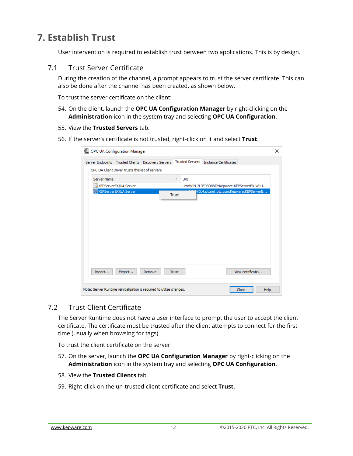### <span id="page-13-0"></span>**7. Establish Trust**

User intervention is required to establish trust between two applications. This is by design.

#### <span id="page-13-1"></span>7.1 Trust Server Certificate

During the creation of the channel, a prompt appears to trust the server certificate. This can also be done after the channel has been created, as shown below.

To trust the server certificate on the client:

- 54. On the client, launch the **OPC UA Configuration Manager** by right-clicking on the **Administration** icon in the system tray and selecting **OPC UA Configuration**.
- 55. View the **Trusted Servers** tab.
- 56. If the server's certificate is not trusted, right-click on it and select **Trust**.

|             | <b>UA</b> OPC UA Configuration Manager            |                                                                       |              |                        |                                              |                  | $\times$ |
|-------------|---------------------------------------------------|-----------------------------------------------------------------------|--------------|------------------------|----------------------------------------------|------------------|----------|
|             |                                                   | Server Endpoints   Trusted Clients   Discovery Servers                |              | <b>Trusted Servers</b> | <b>Instance Certificates</b>                 |                  |          |
|             | OPC UA Client Driver trusts this list of servers. |                                                                       |              |                        |                                              |                  |          |
| Server Name |                                                   |                                                                       | r.           | URI                    |                                              |                  |          |
|             | KEPServerEX/UA Server                             |                                                                       |              |                        | urn:WIN-3L3F9SD88I2:Kepware.KEPServerEX.V6:U |                  |          |
|             | KEPServerEX/UA Server                             |                                                                       | <b>Trust</b> |                        | Y0L4.ptcnet.ptc.com:Kepware.KEPServerE       |                  |          |
|             |                                                   |                                                                       |              |                        |                                              |                  |          |
|             |                                                   |                                                                       |              |                        |                                              |                  |          |
|             |                                                   |                                                                       |              |                        |                                              |                  |          |
|             |                                                   |                                                                       |              |                        |                                              |                  |          |
|             |                                                   |                                                                       |              |                        |                                              |                  |          |
|             |                                                   |                                                                       |              |                        |                                              |                  |          |
|             |                                                   |                                                                       |              |                        |                                              |                  |          |
| Import      | Export                                            | Remove                                                                | <b>Trust</b> |                        |                                              | View certificate |          |
|             |                                                   | Note: Server Runtime reinitialization is required to utilize changes. |              |                        |                                              | Close            | Help     |

#### <span id="page-13-2"></span>7.2 Trust Client Certificate

The Server Runtime does not have a user interface to prompt the user to accept the client certificate. The certificate must be trusted after the client attempts to connect for the first time (usually when browsing for tags).

To trust the client certificate on the server:

- 57. On the server, launch the **OPC UA Configuration Manager** by right-clicking on the **Administration** icon in the system tray and selecting **OPC UA Configuration**.
- 58. View the **Trusted Clients** tab.
- 59. Right-click on the un-trusted client certificate and select **Trust**.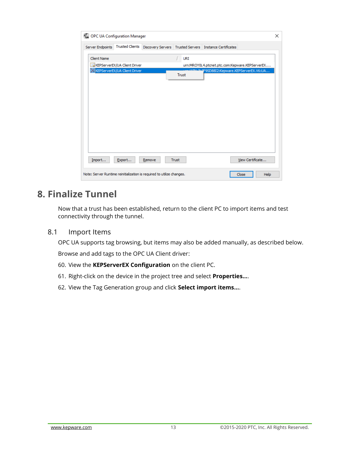| OPC UA Configuration Manager                                          |                              |        |              |                                                             |                  | $\times$ |
|-----------------------------------------------------------------------|------------------------------|--------|--------------|-------------------------------------------------------------|------------------|----------|
| Server Endpoints                                                      | <b>Trusted Clients</b>       |        |              | Discovery Servers   Trusted Servers   Instance Certificates |                  |          |
| <b>Client Name</b>                                                    |                              |        | <b>URI</b>   |                                                             |                  |          |
|                                                                       | KEPServerEX/UA Client Driver |        |              | urn:MROY0L4.ptcnet.ptc.com:Kepware.KEPServerEX              |                  |          |
|                                                                       | KEPServerEX/UA Client Driver |        | <b>Trust</b> | 2F9SD88I2:Kepware.KEPServerEX.V6:UA                         |                  |          |
|                                                                       |                              |        |              |                                                             |                  |          |
|                                                                       |                              |        |              |                                                             |                  |          |
|                                                                       |                              |        |              |                                                             |                  |          |
|                                                                       |                              |        |              |                                                             |                  |          |
|                                                                       |                              |        |              |                                                             |                  |          |
|                                                                       |                              |        |              |                                                             |                  |          |
| Import                                                                | Export                       | Remove | <b>Trust</b> |                                                             | View Certificate |          |
| Note: Server Runtime reinitialization is required to utilize changes. |                              |        |              |                                                             | Close            | Help     |

### <span id="page-14-0"></span>**8. Finalize Tunnel**

Now that a trust has been established, return to the client PC to import items and test connectivity through the tunnel.

<span id="page-14-1"></span>8.1 Import Items

OPC UA supports tag browsing, but items may also be added manually, as described below.

Browse and add tags to the OPC UA Client driver:

- 60. View the **KEPServerEX Configuration** on the client PC.
- 61. Right-click on the device in the project tree and select **Properties…**.
- 62. View the Tag Generation group and click **Select import items…**.